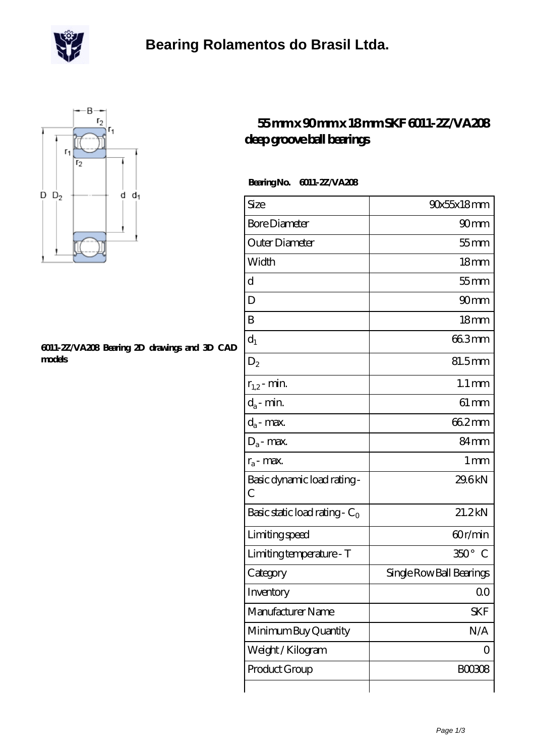

# **[Bearing Rolamentos do Brasil Ltda.](https://m.scottrobertalexander.com)**



#### **[6011-2Z/VA208 Bearing 2D drawings and 3D CAD](https://m.scottrobertalexander.com/pic-539670.html) [models](https://m.scottrobertalexander.com/pic-539670.html)**

### **[55 mm x 90 mm x 18 mm SKF 6011-2Z/VA208](https://m.scottrobertalexander.com/skf-6011-2z-va208-bearing/) [deep groove ball bearings](https://m.scottrobertalexander.com/skf-6011-2z-va208-bearing/)**

### **Bearing No. 6011-2Z/VA208**

| Size                                        | 90x55x18mm                   |
|---------------------------------------------|------------------------------|
| <b>Bore Diameter</b>                        | 90 <sub>mm</sub>             |
| Outer Diameter                              | $55$ mm                      |
| Width                                       | 18 <sub>mm</sub>             |
| d                                           | $55$ mm                      |
| D                                           | 90mm                         |
| B                                           | 18 <sub>mm</sub>             |
| $d_1$                                       | 663mm                        |
| $D_2$                                       | 81.5mm                       |
| $r_{1,2}$ - min.                            | $1.1 \,\mathrm{mm}$          |
| $d_a$ - min.                                | $61 \,\mathrm{mm}$           |
| $d_a$ - max.                                | 662mm                        |
| $D_a$ - max.                                | 84 <sub>mm</sub>             |
| $r_a$ - max.                                | $1 \,\mathrm{mm}$            |
| Basic dynamic load rating -<br>$\mathcal C$ | 29.6kN                       |
| Basic static load rating - $C_0$            | 21.2kN                       |
| Limiting speed                              | 60r/min                      |
| Limiting temperature - T                    | $350^\circ$<br>$\mathcal{C}$ |
| Category                                    | Single Row Ball Bearings     |
| Inventory                                   | QΟ                           |
| Manufacturer Name                           | <b>SKF</b>                   |
| Minimum Buy Quantity                        | N/A                          |
| Weight / Kilogram                           | 0                            |
| Product Group                               | <b>BOO3O8</b>                |
|                                             |                              |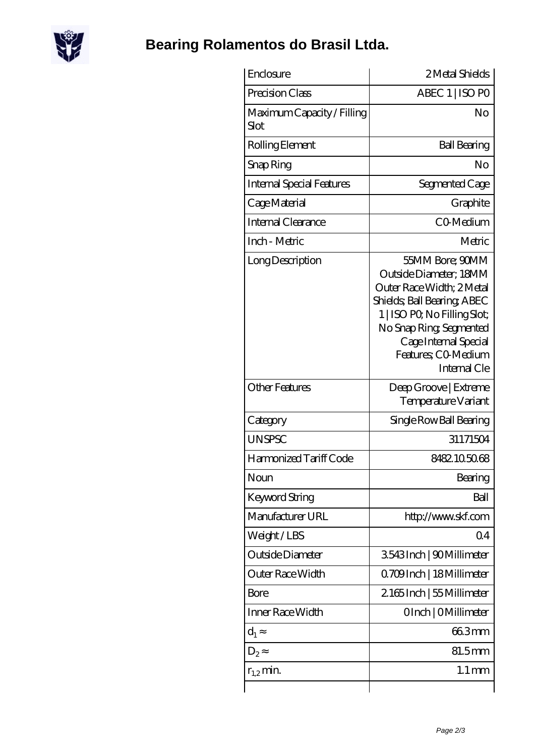

# **[Bearing Rolamentos do Brasil Ltda.](https://m.scottrobertalexander.com)**

| Enclosure                          | 2 Metal Shields                                                                                                                                                                                                                  |
|------------------------------------|----------------------------------------------------------------------------------------------------------------------------------------------------------------------------------------------------------------------------------|
| Precision Class                    | ABEC 1   ISO PO                                                                                                                                                                                                                  |
| Maximum Capacity / Filling<br>Slot | No                                                                                                                                                                                                                               |
| Rolling Element                    | <b>Ball Bearing</b>                                                                                                                                                                                                              |
| Snap Ring                          | Nο                                                                                                                                                                                                                               |
| <b>Internal Special Features</b>   | Segmented Cage                                                                                                                                                                                                                   |
| Cage Material                      | Graphite                                                                                                                                                                                                                         |
| Internal Clearance                 | CO-Medium                                                                                                                                                                                                                        |
| Inch - Metric                      | Metric                                                                                                                                                                                                                           |
| Long Description                   | 55MM Bore; 90MM<br>Outside Diameter; 18MM<br>Outer Race Width: 2 Metal<br>Shields, Ball Bearing, ABEC<br>1   ISO PO, No Filling Slot;<br>No Snap Ring, Segmented<br>Cage Internal Special<br>Features; CO-Medium<br>Internal Cle |
| <b>Other Features</b>              | Deep Groove   Extreme<br>Temperature Variant                                                                                                                                                                                     |
| Category                           | Single Row Ball Bearing                                                                                                                                                                                                          |
| <b>UNSPSC</b>                      | 31171504                                                                                                                                                                                                                         |
| Harmonized Tariff Code             | 8482105068                                                                                                                                                                                                                       |
| Noun                               | Bearing                                                                                                                                                                                                                          |
| <b>Keyword String</b>              | Ball                                                                                                                                                                                                                             |
| Manufacturer URL                   | http://www.skf.com                                                                                                                                                                                                               |
| Weight/LBS                         | Q <sub>4</sub>                                                                                                                                                                                                                   |
| Outside Diameter                   | 3543Inch   90Millimeter                                                                                                                                                                                                          |
| Outer Race Width                   | 0.709Inch   18Millimeter                                                                                                                                                                                                         |
| <b>Bore</b>                        | 2165Inch   55 Millimeter                                                                                                                                                                                                         |
| Inner Race Width                   | OInch   OMillimeter                                                                                                                                                                                                              |
| $d_1$                              | 663mm                                                                                                                                                                                                                            |
| $D_2$                              | 81.5mm                                                                                                                                                                                                                           |
| $r_{1,2}$ min.                     | $1.1 \,\mathrm{mm}$                                                                                                                                                                                                              |
|                                    |                                                                                                                                                                                                                                  |